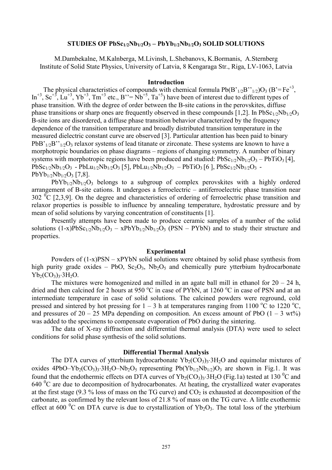# **STUDIES OF PbSc1/2Nb1/2O3 – PbYb1/2Nb1/2O<sup>3</sup> SOLID SOLUTIONS**

M.Dambekalne, M.Kalnberga, M.Livinsh, L.Shebanovs, K.Bormanis, A.Sternberg Institute of Solid State Physics, University of Latvia, 8 Kengaraga Str., Riga, LV-1063, Latvia

### **Introduction**

The physical characteristics of compounds with chemical formula  $Pb(B'_{1/2}B''_{1/2})O_3$  (B'=Fe<sup>+3</sup>,  $\text{In}^{+3}$ ,  $\text{Sc}^{+5}$ ,  $\text{Lu}^{+3}$ ,  $\text{Yb}^{+3}$ ,  $\text{Tm}^{+3}$  etc.,  $\text{B}^{\prime\prime} = \text{Nb}^{+5}$ ,  $\text{Ta}^{+5}$ ) have been of interest due to different types of phase transition. With the degree of order between the B-site cations in the perovskites, diffuse phase transitions or sharp ones are frequently observed in these compounds [1,2]. In PbSc<sub>1/2</sub>Nb<sub>1/2</sub>O<sub>3</sub> B-site ions are disordered, a diffuse phase transition behavior characterized by the frequency dependence of the transition temperature and broadly distributed transition temperature in the measured dielectric constant curve are observed [3]. Particular attention has been paid to binary  $PbB'_{1/2}B''_{1/2}O_3$  relaxor systems of lead titanate or zirconate. These systems are known to have a morphotropic boundaries on phase diagrams – regions of changing symmetry. A number of binary systems with morphotropic regions have been produced and studied:  $PbSc_{1/2}Nb_{1/2}O_3 - PbTiO_3$  [4],  $PbSc_{1/2}Nb_{1/2}O_3 - PbLu_{1/2}Nb_{1/2}O_3$  [5],  $PbLu_{1/2}Nb_{1/2}O_3 - PbTiO_3$  [6],  $PbSc_{1/2}Nb_{1/2}O_3 PbYb_{1/2}Nb_{1/2}O_3$  [7,8].

 $PbYb_{1/2}Nb_{1/2}O_3$  belongs to a subgroup of complex perovskites with a highly ordered arrangement of B-site cations. It undergoes a ferroelectric – antiferroelectric phase transition near  $302 \degree$ C [2,3,9]. On the degree and characteristics of ordering of ferroelectric phase transition and relaxor properties is possible to influence by annealing temperature, hydrostatic pressure and by mean of solid solutions by varying concentration of constituents [1].

Presently attempts have been made to produce ceramic samples of a number of the solid solutions  $(1-x)PbSc_{1/2}Nb_{1/2}O_3 - xPbYb_{1/2}Nb_{1/2}O_3$  (PSN – PYbN) and to study their structure and properties.

### **Experimental**

Powders of  $(1-x)PSN - xPYbN$  solid solutions were obtained by solid phase synthesis from high purity grade oxides – PbO,  $Sc_2O_3$ , Nb<sub>2</sub>O<sub>5</sub> and chemically pure ytterbium hydrocarbonate  $Yb_2(CO_3)3.3H_2O.$ 

The mixtures were homogenized and milled in an agate ball mill in ethanol for  $20 - 24$  h, dried and then calcined for 2 hours at 950  $\degree$ C in case of PYbN, at 1260  $\degree$ C in case of PSN and at an intermediate temperature in case of solid solutions. The calcined powders were reground, cold pressed and sintered by hot pressing for  $1 - 3$  h at temperatures ranging from 1100 °C to 1220 °C, and pressures of  $20 - 25$  MPa depending on composition. An excess amount of PbO  $(1 - 3 \text{ wt})$ was added to the specimens to compensate evaporation of PbO during the sintering.

The data of X-ray diffraction and differential thermal analysis (DTA) were used to select conditions for solid phase synthesis of the solid solutions.

# **Differential Thermal Analysis**

The DTA curves of ytterbium hydrocarbonate  $Yb_2(CO_3)_3·3H_2O$  and equimolar mixtures of oxides 4PbO–Yb<sub>2</sub>(CO<sub>3</sub>)<sub>3</sub>·3H<sub>2</sub>O–Nb<sub>2</sub>O<sub>5</sub> representing Pb(Yb<sub>1/2</sub>Nb<sub>1/2</sub>)O<sub>3</sub> are shown in Fig.1. It was found that the endothermic effects on DTA curves of  $Yb_2(CO_3)$ <sup>3</sup> $H_2O$  (Fig.1a) tested at 130 <sup>o</sup>C and  $640<sup>0</sup>C$  are due to decomposition of hydrocarbonates. At heating, the crystallized water evaporates at the first stage (9.3 % loss of mass on the TG curve) and  $CO<sub>2</sub>$  is exhausted at decomposition of the carbonate, as confirmed by the relevant loss of 21.8 % of mass on the TG curve. A little exothermic effect at 600  $^{\circ}$ C on DTA curve is due to crystallization of Yb<sub>2</sub>O<sub>3</sub>. The total loss of the ytterbium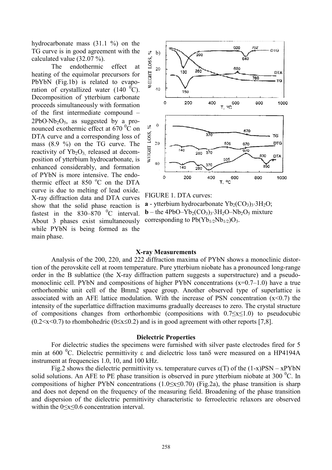hydrocarbonate mass (31.1 %) on the TG curve is in good agreement with the calculated value (32.07 %).

The endothermic effect at heating of the equimolar precursors for PbYbN (Fig.1b) is related to evaporation of crystallized water  $(140<sup>0</sup>C)$ . Decomposition of ytterbium carbonate proceeds simultaneously with formation of the first intermediate compound –  $2PbO\cdot Nb<sub>2</sub>O<sub>5</sub>$  as suggested by a pronounced exothermic effect at  $670\degree$ C on DTA curve and a corresponding loss of mass (8.9 %) on the TG curve. The reactivity of  $Yb_2O_3$  released at decomposition of ytterbium hydrocarbonate, is enhanced considerably, and formation of PYbN is more intensive. The endothermic effect at  $850\text{ °C}$  on the DTA curve is due to melting of lead oxide. X-ray diffraction data and DTA curves show that the solid phase reaction is fastest in the  $830-870$  <sup>0</sup>C interval. About 3 phases exist simultaneously while PYbN is being formed as the main phase.



FIGURE 1. DTA curves:

**a** - ytterbium hydrocarbonate  $Yb_2(CO_3)_3.3H_2O$ ; **b** – the 4PbO–Yb<sub>2</sub>(CO<sub>3</sub>)<sub>3</sub>·3H<sub>2</sub>O–Nb<sub>2</sub>O<sub>5</sub> mixture corresponding to  $Pb(Yb_{1/2}Nb_{1/2})O_3$ .

### **X-ray Measurements**

Analysis of the 200, 220, and 222 diffraction maxima of PYbN shows a monoclinic distortion of the perovskite cell at room temperature. Pure ytterbium niobate has a pronounced long-range order in the B sublattice (the X-ray diffraction pattern suggests a superstructure) and a pseudomonoclinic cell. PYbN and compositions of higher PYbN concentrations  $(x=0.7-1.0)$  have a true orthorhombic unit cell of the Bmm2 space group. Another observed type of superlattice is associated with an AFE lattice modulation. With the increase of PSN concentration  $(x<0.7)$  the intensity of the superlattice diffraction maximums gradually decreases to zero. The crystal structure of compositions changes from orthorhombic (compositions with 0.7≤x≤1.0) to pseudocubic  $(0.2 \le x \le 0.7)$  to rhombohedric  $(0 \le x \le 0.2)$  and is in good agreement with other reports [7,8].

#### **Dielectric Properties**

For dielectric studies the specimens were furnished with silver paste electrodes fired for 5 min at 600  $^{0}$ C. Dielectric permittivity  $\varepsilon$  and dielectric loss tan $\delta$  were measured on a HP4194A instrument at frequencies 1.0, 10, and 100 kHz.

Fig.2 shows the dielectric permittivity vs. temperature curves  $\varepsilon(T)$  of the  $(1-x)PSN - xPYbN$ solid solutions. An AFE to PE phase transition is observed in pure ytterbium niobate at  $300<sup>0</sup>C$ . In compositions of higher PYbN concentrations  $(1.0 \le x \le 0.70)$  (Fig.2a), the phase transition is sharp and does not depend on the frequency of the measuring field. Broadening of the phase transition and dispersion of the dielectric permittivity characteristic to ferroelectric relaxors are observed within the 0≤x≤0.6 concentration interval.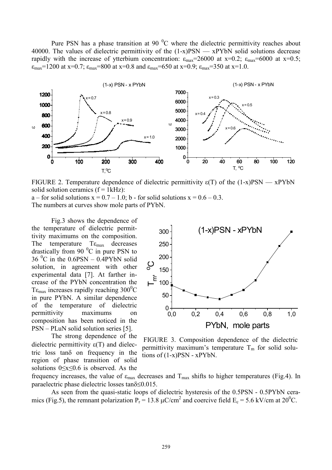Pure PSN has a phase transition at 90 ${}^{0}C$  where the dielectric permittivity reaches about 40000. The values of dielectric permittivity of the  $(1-x)PSN - xPYbN$  solid solutions decrease rapidly with the increase of ytterbium concentration:  $\varepsilon_{\text{max}}$ =26000 at x=0.2;  $\varepsilon_{\text{max}}$ =6000 at x=0.5;  $\varepsilon_{\text{max}}$ =1200 at x=0.7;  $\varepsilon_{\text{max}}$ =800 at x=0.8 and  $\varepsilon_{\text{max}}$ =650 at x=0.9;  $\varepsilon_{\text{max}}$ =350 at x=1.0.



FIGURE 2. Temperature dependence of dielectric permittivity  $\varepsilon(T)$  of the (1-x)PSN — xPYbN solid solution ceramics  $(f = 1kHz)$ :

 $a$  – for solid solutions  $x = 0.7 - 1.0$ ; b - for solid solutions  $x = 0.6 - 0.3$ . The numbers at curves show mole parts of PYbN.

Fig.3 shows the dependence of the temperature of dielectric permittivity maximums on the composition. The temperature  $T\varepsilon_{\text{max}}$  decreases drastically from 90 $\degree$ C in pure PSN to  $36\text{ °C}$  in the  $0.6$ PSN –  $0.4$ PYbN solid solution, in agreement with other experimental data [7]. At farther increase of the PYbN concentration the T $\epsilon_{\text{max}}$  increases rapidly reaching 300<sup>0</sup>C in pure PYbN. A similar dependence of the temperature of dielectric permittivity maximums on composition has been noticed in the PSN – PLuN solid solution series [5].

The strong dependence of the dielectric permittivity  $\varepsilon(T)$  and dielectric loss tand on frequency in the region of phase transition of solid solutions 0≤x≤0.6 is observed. As the



FIGURE 3. Composition dependence of the dielectric permittivity maximum's temperature  $T_m$  for solid solutions of  $(1-x)PSN - xPYbN$ .

frequency increases, the value of  $\varepsilon_{\text{max}}$  decreases and  $T_{\text{max}}$  shifts to higher temperatures (Fig.4). In paraelectric phase dielectric losses  $tan\delta \leq 0.015$ .

As seen from the quasi-static loops of dielectric hysteresis of the 0.5PSN - 0.5PYbN ceramics (Fig.5), the remnant polarization  $P_r = 13.8 \mu C/cm^2$  and coercive field  $E_c = 5.6 \text{ kV/cm}$  at  $20^0$ C.